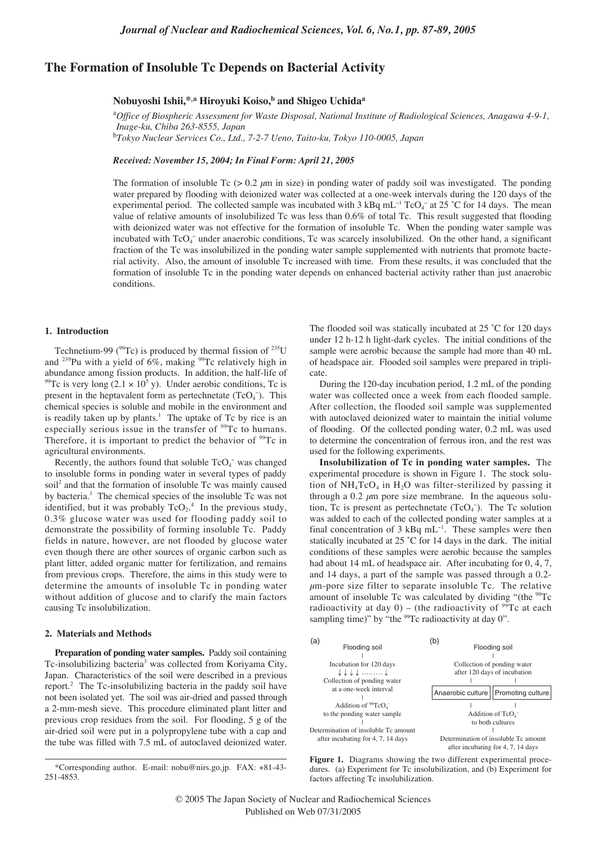# **The Formation of Insoluble Tc Depends on Bacterial Activity**

## **Nobuyoshi Ishii,\*,a Hiroyuki Koiso,b and Shigeo Uchida<sup>a</sup>**

a *Office of Biospheric Assessment for Waste Disposal, National Institute of Radiological Sciences, Anagawa 4-9-1, Inage-ku, Chiba 263-8555, Japan*

b *Tokyo Nuclear Services Co., Ltd., 7-2-7 Ueno, Taito-ku, Tokyo 110-0005, Japan*

## *Received: November 15, 2004; In Final Form: April 21, 2005*

The formation of insoluble Tc ( $> 0.2 \mu m$  in size) in ponding water of paddy soil was investigated. The ponding water prepared by flooding with deionized water was collected at a one-week intervals during the 120 days of the experimental period. The collected sample was incubated with 3 kBq mL<sup>-1</sup> TcO<sub>4</sub><sup>-</sup> at 25 °C for 14 days. The mean value of relative amounts of insolubilized Tc was less than 0.6% of total Tc. This result suggested that flooding with deionized water was not effective for the formation of insoluble Tc. When the ponding water sample was incubated with  $TcO<sub>4</sub>$  under anaerobic conditions, Tc was scarcely insolubilized. On the other hand, a significant fraction of the Tc was insolubilized in the ponding water sample supplemented with nutrients that promote bacterial activity. Also, the amount of insoluble Tc increased with time. From these results, it was concluded that the formation of insoluble Tc in the ponding water depends on enhanced bacterial activity rather than just anaerobic conditions.

### **1. Introduction**

Technetium-99 ( $^{99}$ Tc) is produced by thermal fission of  $^{235}$ U and  $^{239}$ Pu with a yield of 6%, making  $^{99}$ Tc relatively high in abundance among fission products. In addition, the half-life of <sup>99</sup>Tc is very long  $(2.1 \times 10^5$  y). Under aerobic conditions, Tc is present in the heptavalent form as pertechnetate  $(TcO<sub>4</sub><sup>-</sup>)$ . This chemical species is soluble and mobile in the environment and is readily taken up by plants.<sup>1</sup> The uptake of Tc by rice is an especially serious issue in the transfer of <sup>99</sup>Tc to humans. Therefore, it is important to predict the behavior of  $99Tc$  in agricultural environments.

Recently, the authors found that soluble  $TcO<sub>4</sub>$ <sup>-</sup> was changed to insoluble forms in ponding water in several types of paddy soil<sup>2</sup> and that the formation of insoluble Tc was mainly caused by bacteria.3 The chemical species of the insoluble Tc was not identified, but it was probably  $TcO_2$ <sup>4</sup> In the previous study, 0.3% glucose water was used for flooding paddy soil to demonstrate the possibility of forming insoluble Tc. Paddy fields in nature, however, are not flooded by glucose water even though there are other sources of organic carbon such as plant litter, added organic matter for fertilization, and remains from previous crops. Therefore, the aims in this study were to determine the amounts of insoluble Tc in ponding water without addition of glucose and to clarify the main factors causing Tc insolubilization.

### **2. Materials and Methods**

**Preparation of ponding water samples.** Paddy soil containing Tc-insolubilizing bacteria<sup>3</sup> was collected from Koriyama City, Japan. Characteristics of the soil were described in a previous report.<sup>2</sup> The Tc-insolubilizing bacteria in the paddy soil have not been isolated yet. The soil was air-dried and passed through a 2-mm-mesh sieve. This procedure eliminated plant litter and previous crop residues from the soil. For flooding, 5 g of the air-dried soil were put in a polypropylene tube with a cap and the tube was filled with 7.5 mL of autoclaved deionized water.

The flooded soil was statically incubated at 25 °C for 120 days under 12 h-12 h light-dark cycles. The initial conditions of the sample were aerobic because the sample had more than 40 mL of headspace air. Flooded soil samples were prepared in triplicate.

During the 120-day incubation period, 1.2 mL of the ponding water was collected once a week from each flooded sample. After collection, the flooded soil sample was supplemented with autoclaved deionized water to maintain the initial volume of flooding. Of the collected ponding water, 0.2 mL was used to determine the concentration of ferrous iron, and the rest was used for the following experiments.

**Insolubilization of Tc in ponding water samples.** The experimental procedure is shown in Figure 1. The stock solution of  $NH_4TcO_4$  in H<sub>2</sub>O was filter-sterilized by passing it through a 0.2  $\mu$ m pore size membrane. In the aqueous solution, Tc is present as pertechnetate  $(TcO<sub>4</sub>^-)$ . The Tc solution was added to each of the collected ponding water samples at a final concentration of 3 kBq mL<sup>-1</sup>. These samples were then statically incubated at 25 ˚C for 14 days in the dark. The initial conditions of these samples were aerobic because the samples had about 14 mL of headspace air. After incubating for 0, 4, 7, and 14 days, a part of the sample was passed through a 0.2-  $\mu$ m-pore size filter to separate insoluble Tc. The relative amount of insoluble Tc was calculated by dividing "(the  $99Tc$ radioactivity at day 0) – (the radioactivity of  $99\text{ Tc}$  at each sampling time)" by "the <sup>99</sup>Tc radioactivity at day 0".



**Figure 1.** Diagrams showing the two different experimental procedures. (a) Experiment for Tc insolubilization, and (b) Experiment for factors affecting Tc insolubilization.

<sup>\*</sup>Corresponding author. E-mail: nobu@nirs.go.jp. FAX: +81-43- 251-4853.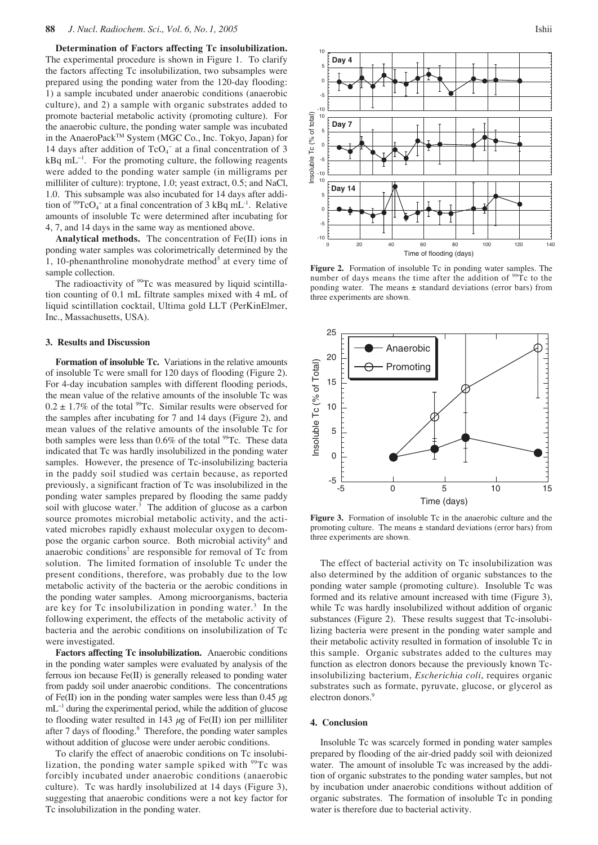**Determination of Factors affecting Tc insolubilization.** The experimental procedure is shown in Figure 1. To clarify the factors affecting Tc insolubilization, two subsamples were prepared using the ponding water from the 120-day flooding: 1) a sample incubated under anaerobic conditions (anaerobic culture), and 2) a sample with organic substrates added to promote bacterial metabolic activity (promoting culture). For the anaerobic culture, the ponding water sample was incubated in the AnaeroPack<sup>™</sup> System (MGC Co., Inc. Tokyo, Japan) for 14 days after addition of  $TcO<sub>4</sub>^-$  at a final concentration of 3 kBq mL<sup>−</sup><sup>1</sup> . For the promoting culture, the following reagents were added to the ponding water sample (in milligrams per milliliter of culture): tryptone, 1.0; yeast extract, 0.5; and NaCl, 1.0. This subsample was also incubated for 14 days after addition of <sup>99</sup>TcO<sub>4</sub><sup>-</sup> at a final concentration of 3 kBq mL<sup>-1</sup>. Relative amounts of insoluble Tc were determined after incubating for 4, 7, and 14 days in the same way as mentioned above.

**Analytical methods.** The concentration of Fe(II) ions in ponding water samples was colorimetrically determined by the 1, 10-phenanthroline monohydrate method<sup>5</sup> at every time of sample collection.

The radioactivity of <sup>99</sup>Tc was measured by liquid scintillation counting of 0.1 mL filtrate samples mixed with 4 mL of liquid scintillation cocktail, Ultima gold LLT (PerKinElmer, Inc., Massachusetts, USA).

#### **3. Results and Discussion**

**Formation of insoluble Tc.** Variations in the relative amounts of insoluble Tc were small for 120 days of flooding (Figure 2). For 4-day incubation samples with different flooding periods, the mean value of the relative amounts of the insoluble Tc was  $0.2 \pm 1.7\%$  of the total <sup>99</sup>Tc. Similar results were observed for the samples after incubating for 7 and 14 days (Figure 2), and mean values of the relative amounts of the insoluble Tc for both samples were less than  $0.6\%$  of the total  $99$ Tc. These data indicated that Tc was hardly insolubilized in the ponding water samples. However, the presence of Tc-insolubilizing bacteria in the paddy soil studied was certain because, as reported previously, a significant fraction of Tc was insolubilized in the ponding water samples prepared by flooding the same paddy soil with glucose water. $3$  The addition of glucose as a carbon source promotes microbial metabolic activity, and the activated microbes rapidly exhaust molecular oxygen to decompose the organic carbon source. Both microbial activity<sup>6</sup> and anaerobic conditions<sup>7</sup> are responsible for removal of  $Tc$  from solution. The limited formation of insoluble Tc under the present conditions, therefore, was probably due to the low metabolic activity of the bacteria or the aerobic conditions in the ponding water samples. Among microorganisms, bacteria are key for  $Tc$  insolubilization in ponding water.<sup>3</sup> In the following experiment, the effects of the metabolic activity of bacteria and the aerobic conditions on insolubilization of Tc were investigated.

**Factors affecting Tc insolubilization.** Anaerobic conditions in the ponding water samples were evaluated by analysis of the ferrous ion because Fe(II) is generally released to ponding water from paddy soil under anaerobic conditions. The concentrations of Fe(II) ion in the ponding water samples were less than  $0.45 \mu$ g mL<sup>-1</sup> during the experimental period, while the addition of glucose to flooding water resulted in 143  $\mu$ g of Fe(II) ion per milliliter after 7 days of flooding.<sup>8</sup> Therefore, the ponding water samples without addition of glucose were under aerobic conditions.

To clarify the effect of anaerobic conditions on Tc insolubilization, the ponding water sample spiked with  $99Tc$  was forcibly incubated under anaerobic conditions (anaerobic culture). Tc was hardly insolubilized at 14 days (Figure 3), suggesting that anaerobic conditions were a not key factor for Tc insolubilization in the ponding water.





**Figure 2.** Formation of insoluble Tc in ponding water samples. The number of days means the time after the addition of <sup>99</sup>Tc to the ponding water. The means  $\pm$  standard deviations (error bars) from three experiments are shown.



Figure 3. Formation of insoluble Tc in the anaerobic culture and the promoting culture. The means  $\pm$  standard deviations (error bars) from three experiments are shown.

The effect of bacterial activity on Tc insolubilization was also determined by the addition of organic substances to the ponding water sample (promoting culture). Insoluble Tc was formed and its relative amount increased with time (Figure 3), while Tc was hardly insolubilized without addition of organic substances (Figure 2). These results suggest that Tc-insolubilizing bacteria were present in the ponding water sample and their metabolic activity resulted in formation of insoluble Tc in this sample. Organic substrates added to the cultures may function as electron donors because the previously known Tcinsolubilizing bacterium, *Escherichia coli*, requires organic substrates such as formate, pyruvate, glucose, or glycerol as electron donors.<sup>9</sup>

#### **4. Conclusion**

Insoluble Tc was scarcely formed in ponding water samples prepared by flooding of the air-dried paddy soil with deionized water. The amount of insoluble Tc was increased by the addition of organic substrates to the ponding water samples, but not by incubation under anaerobic conditions without addition of organic substrates. The formation of insoluble Tc in ponding water is therefore due to bacterial activity.